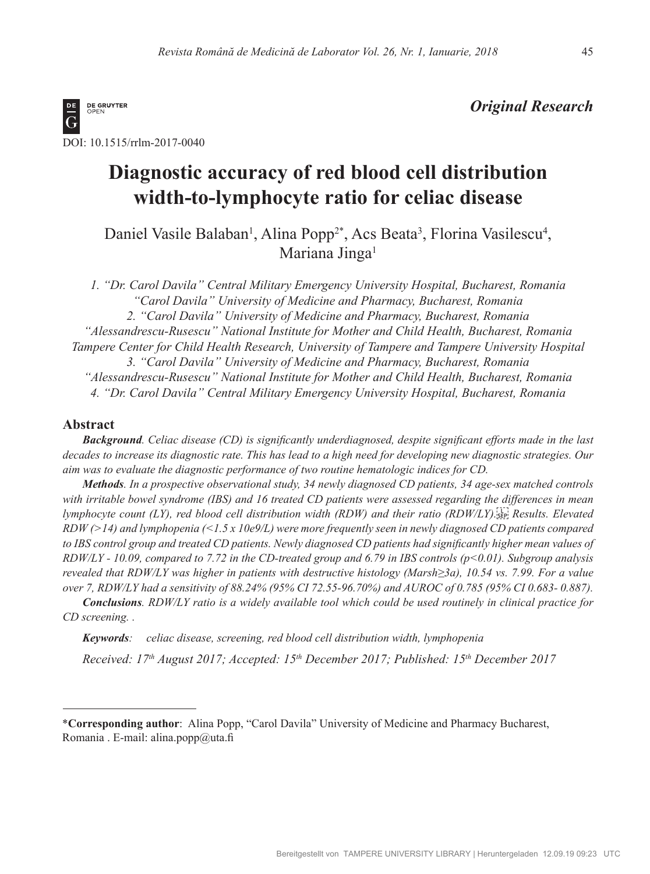

## *Original Research*

# **Diagnostic accuracy of red blood cell distribution width-to-lymphocyte ratio for celiac disease**

Daniel Vasile Balaban<sup>1</sup>, Alina Popp<sup>2\*</sup>, Acs Beata<sup>3</sup>, Florina Vasilescu<sup>4</sup>, Mariana Jinga<sup>1</sup>

*1. "Dr. Carol Davila" Central Military Emergency University Hospital, Bucharest, Romania "Carol Davila" University of Medicine and Pharmacy, Bucharest, Romania 2. "Carol Davila" University of Medicine and Pharmacy, Bucharest, Romania "Alessandrescu-Rusescu" National Institute for Mother and Child Health, Bucharest, Romania Tampere Center for Child Health Research, University of Tampere and Tampere University Hospital 3. "Carol Davila" University of Medicine and Pharmacy, Bucharest, Romania "Alessandrescu-Rusescu" National Institute for Mother and Child Health, Bucharest, Romania 4. "Dr. Carol Davila" Central Military Emergency University Hospital, Bucharest, Romania* 

## **Abstract**

*Background. Celiac disease (CD) is significantly underdiagnosed, despite significant efforts made in the last decades to increase its diagnostic rate. This has lead to a high need for developing new diagnostic strategies. Our aim was to evaluate the diagnostic performance of two routine hematologic indices for CD.* 

*Methods. In a prospective observational study, 34 newly diagnosed CD patients, 34 age-sex matched controls*  with irritable bowel syndrome (IBS) and 16 treated CD patients were assessed regarding the differences in mean *lymphocyte count (LY), red blood cell distribution width (RDW) and their ratio (RDW/LY).
Results. Elevated RDW (>14) and lymphopenia (<1.5 x 10e9/L) were more frequently seen in newly diagnosed CD patients compared*  to IBS control group and treated CD patients. Newly diagnosed CD patients had significantly higher mean values of *RDW/LY - 10.09, compared to 7.72 in the CD-treated group and 6.79 in IBS controls (p<0.01). Subgroup analysis revealed that RDW/LY was higher in patients with destructive histology (Marsh≥3a), 10.54 vs. 7.99. For a value over 7, RDW/LY had a sensitivity of 88.24% (95% CI 72.55-96.70%) and AUROC of 0.785 (95% CI 0.683- 0.887).* 

*Conclusions. RDW/LY ratio is a widely available tool which could be used routinely in clinical practice for CD screening. .*

*Keywords: celiac disease, screening, red blood cell distribution width, lymphopenia*

*Received: 17th August 2017; Accepted: 15th December 2017; Published: 15th December 2017*

\***Corresponding author**: Alina Popp, "Carol Davila" University of Medicine and Pharmacy Bucharest, Romania . E-mail: alina.popp@uta.fi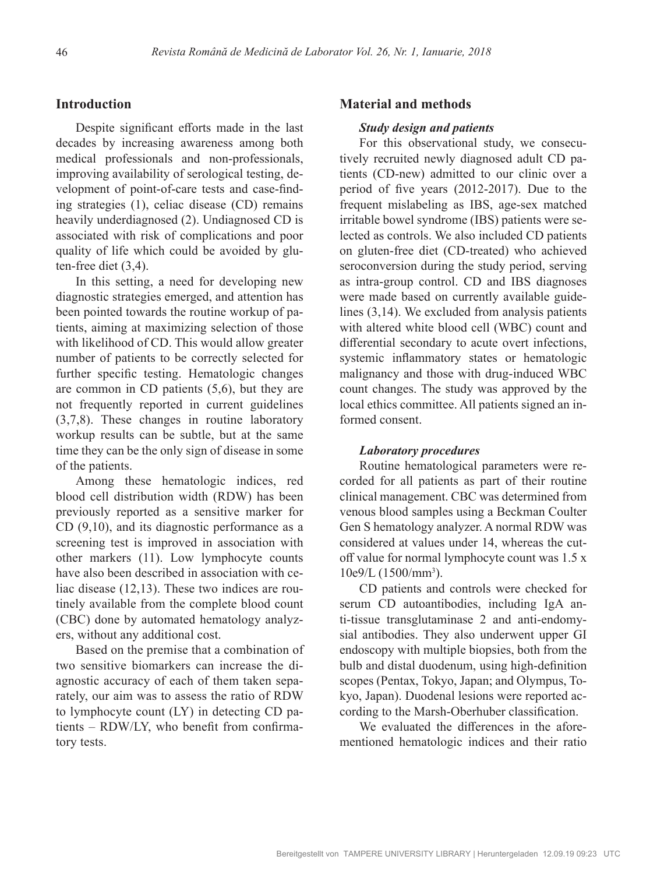### **Introduction**

Despite significant efforts made in the last decades by increasing awareness among both medical professionals and non-professionals, improving availability of serological testing, development of point-of-care tests and case-finding strategies (1), celiac disease (CD) remains heavily underdiagnosed (2). Undiagnosed CD is associated with risk of complications and poor quality of life which could be avoided by gluten-free diet (3,4).

In this setting, a need for developing new diagnostic strategies emerged, and attention has been pointed towards the routine workup of patients, aiming at maximizing selection of those with likelihood of CD. This would allow greater number of patients to be correctly selected for further specific testing. Hematologic changes are common in CD patients (5,6), but they are not frequently reported in current guidelines (3,7,8). These changes in routine laboratory workup results can be subtle, but at the same time they can be the only sign of disease in some of the patients.

Among these hematologic indices, red blood cell distribution width (RDW) has been previously reported as a sensitive marker for CD (9,10), and its diagnostic performance as a screening test is improved in association with other markers (11). Low lymphocyte counts have also been described in association with celiac disease (12,13). These two indices are routinely available from the complete blood count (CBC) done by automated hematology analyzers, without any additional cost.

Based on the premise that a combination of two sensitive biomarkers can increase the diagnostic accuracy of each of them taken separately, our aim was to assess the ratio of RDW to lymphocyte count (LY) in detecting CD patients – RDW/LY, who benefit from confirmatory tests.

#### **Material and methods**

#### *Study design and patients*

For this observational study, we consecutively recruited newly diagnosed adult CD patients (CD-new) admitted to our clinic over a period of five years (2012-2017). Due to the frequent mislabeling as IBS, age-sex matched irritable bowel syndrome (IBS) patients were selected as controls. We also included CD patients on gluten-free diet (CD-treated) who achieved seroconversion during the study period, serving as intra-group control. CD and IBS diagnoses were made based on currently available guidelines (3,14). We excluded from analysis patients with altered white blood cell (WBC) count and differential secondary to acute overt infections, systemic inflammatory states or hematologic malignancy and those with drug-induced WBC count changes. The study was approved by the local ethics committee. All patients signed an informed consent.

#### *Laboratory procedures*

Routine hematological parameters were recorded for all patients as part of their routine clinical management. CBC was determined from venous blood samples using a Beckman Coulter Gen S hematology analyzer. A normal RDW was considered at values under 14, whereas the cutoff value for normal lymphocyte count was 1.5 x 10e9/L (1500/mm3 ).

CD patients and controls were checked for serum CD autoantibodies, including IgA anti-tissue transglutaminase 2 and anti-endomysial antibodies. They also underwent upper GI endoscopy with multiple biopsies, both from the bulb and distal duodenum, using high-definition scopes (Pentax, Tokyo, Japan; and Olympus, Tokyo, Japan). Duodenal lesions were reported according to the Marsh-Oberhuber classification.

We evaluated the differences in the aforementioned hematologic indices and their ratio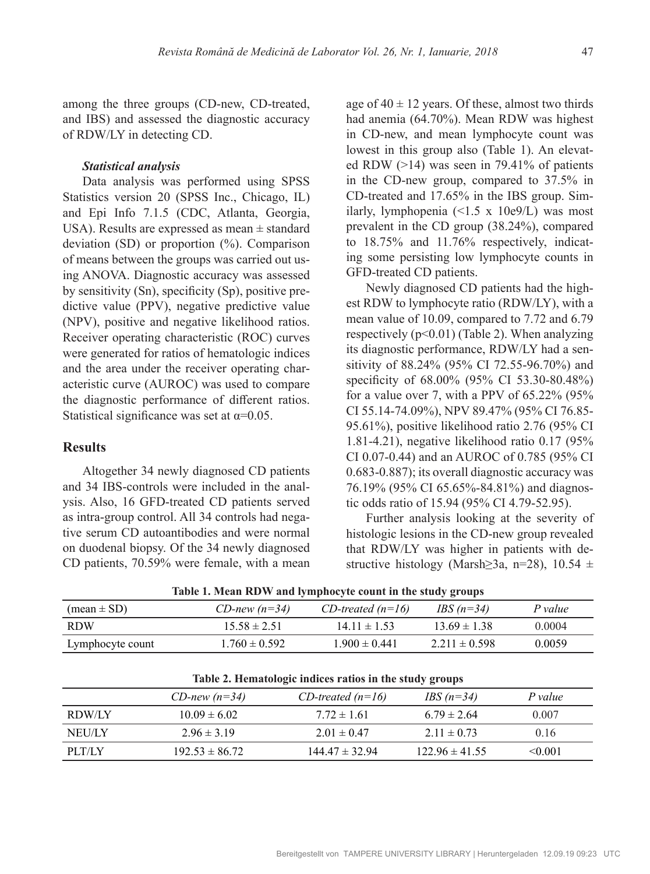among the three groups (CD-new, CD-treated, and IBS) and assessed the diagnostic accuracy of RDW/LY in detecting CD.

#### *Statistical analysis*

Data analysis was performed using SPSS Statistics version 20 (SPSS Inc., Chicago, IL) and Epi Info 7.1.5 (CDC, Atlanta, Georgia, USA). Results are expressed as mean  $\pm$  standard deviation (SD) or proportion (%). Comparison of means between the groups was carried out using ANOVA. Diagnostic accuracy was assessed by sensitivity (Sn), specificity (Sp), positive predictive value (PPV), negative predictive value (NPV), positive and negative likelihood ratios. Receiver operating characteristic (ROC) curves were generated for ratios of hematologic indices and the area under the receiver operating characteristic curve (AUROC) was used to compare the diagnostic performance of different ratios. Statistical significance was set at  $\alpha$ =0.05.

## **Results**

Altogether 34 newly diagnosed CD patients and 34 IBS-controls were included in the analysis. Also, 16 GFD-treated CD patients served as intra-group control. All 34 controls had negative serum CD autoantibodies and were normal on duodenal biopsy. Of the 34 newly diagnosed CD patients, 70.59% were female, with a mean age of  $40 \pm 12$  years. Of these, almost two thirds had anemia (64.70%). Mean RDW was highest in CD-new, and mean lymphocyte count was lowest in this group also (Table 1). An elevated RDW  $(>14)$  was seen in 79.41% of patients in the CD-new group, compared to 37.5% in CD-treated and 17.65% in the IBS group. Similarly, lymphopenia  $(\leq 1.5 \times 10e9/L)$  was most prevalent in the CD group (38.24%), compared to 18.75% and 11.76% respectively, indicating some persisting low lymphocyte counts in GFD-treated CD patients.

Newly diagnosed CD patients had the highest RDW to lymphocyte ratio (RDW/LY), with a mean value of 10.09, compared to 7.72 and 6.79 respectively  $(p<0.01)$  (Table 2). When analyzing its diagnostic performance, RDW/LY had a sensitivity of 88.24% (95% CI 72.55-96.70%) and specificity of 68.00% (95% CI 53.30-80.48%) for a value over 7, with a PPV of 65.22% (95% CI 55.14-74.09%), NPV 89.47% (95% CI 76.85- 95.61%), positive likelihood ratio 2.76 (95% CI 1.81-4.21), negative likelihood ratio 0.17 (95% CI 0.07-0.44) and an AUROC of 0.785 (95% CI 0.683-0.887); its overall diagnostic accuracy was 76.19% (95% CI 65.65%-84.81%) and diagnostic odds ratio of 15.94 (95% CI 4.79-52.95).

Further analysis looking at the severity of histologic lesions in the CD-new group revealed that RDW/LY was higher in patients with destructive histology (Marsh>3a, n=28), 10.54  $\pm$ 

| $(\text{mean} \pm \text{SD})$ | CD-new $(n=34)$   | CD-treated $(n=16)$ | IBS $(n=34)$      | P value |
|-------------------------------|-------------------|---------------------|-------------------|---------|
| <b>RDW</b>                    | $15.58 \pm 2.51$  | $14.11 \pm 1.53$    | $13.69 \pm 1.38$  | 0.0004  |
| Lymphocyte count              | $1.760 \pm 0.592$ | $1.900 \pm 0.441$   | $2.211 \pm 0.598$ | 0.0059  |
|                               |                   |                     |                   |         |

| $(mean \pm SD)$  | CD-new $(n=34)$   | $CD$ -treated (n=16) | IBS $(n=34)$      | P value |
|------------------|-------------------|----------------------|-------------------|---------|
| <b>RDW</b>       | $15.58 \pm 2.51$  | $14.11 \pm 1.53$     | $13.69 \pm 1.38$  | 0.0004  |
| Lymphocyte count | $1.760 \pm 0.592$ | $1.900 \pm 0.441$    | $2.211 \pm 0.598$ | 0.0059  |
|                  |                   |                      |                   |         |

**Table 2. Hematologic indices ratios in the study groups**

|        | CD-new $(n=34)$    | CD-treated $(n=16)$ | IBS $(n=34)$       | P value      |
|--------|--------------------|---------------------|--------------------|--------------|
| RDW/LY | $10.09 \pm 6.02$   | $7.72 \pm 1.61$     | $6.79 \pm 2.64$    | 0.007        |
| NEU/LY | $2.96 \pm 3.19$    | $2.01 \pm 0.47$     | $2.11 \pm 0.73$    | 0.16         |
| PIT/IX | $192.53 \pm 86.72$ | $144.47 \pm 32.94$  | $122.96 \pm 41.55$ | $\leq 0.001$ |

**Table 1. Mean RDW and lymphocyte count in the study groups**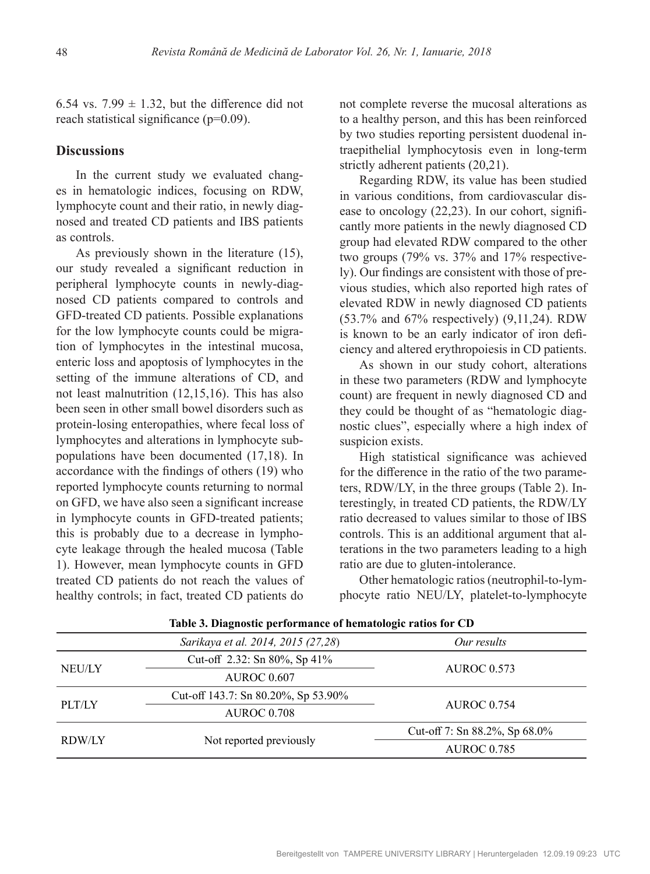6.54 vs. 7.99  $\pm$  1.32, but the difference did not reach statistical significance (p=0.09).

## **Discussions**

In the current study we evaluated changes in hematologic indices, focusing on RDW, lymphocyte count and their ratio, in newly diagnosed and treated CD patients and IBS patients as controls.

As previously shown in the literature (15), our study revealed a significant reduction in peripheral lymphocyte counts in newly-diagnosed CD patients compared to controls and GFD-treated CD patients. Possible explanations for the low lymphocyte counts could be migration of lymphocytes in the intestinal mucosa, enteric loss and apoptosis of lymphocytes in the setting of the immune alterations of CD, and not least malnutrition (12,15,16). This has also been seen in other small bowel disorders such as protein-losing enteropathies, where fecal loss of lymphocytes and alterations in lymphocyte subpopulations have been documented (17,18). In accordance with the findings of others (19) who reported lymphocyte counts returning to normal on GFD, we have also seen a significant increase in lymphocyte counts in GFD-treated patients; this is probably due to a decrease in lymphocyte leakage through the healed mucosa (Table 1). However, mean lymphocyte counts in GFD treated CD patients do not reach the values of healthy controls; in fact, treated CD patients do

not complete reverse the mucosal alterations as to a healthy person, and this has been reinforced by two studies reporting persistent duodenal intraepithelial lymphocytosis even in long-term strictly adherent patients (20,21).

Regarding RDW, its value has been studied in various conditions, from cardiovascular disease to oncology (22,23). In our cohort, significantly more patients in the newly diagnosed CD group had elevated RDW compared to the other two groups (79% vs. 37% and 17% respectively). Our findings are consistent with those of previous studies, which also reported high rates of elevated RDW in newly diagnosed CD patients (53.7% and 67% respectively) (9,11,24). RDW is known to be an early indicator of iron deficiency and altered erythropoiesis in CD patients.

As shown in our study cohort, alterations in these two parameters (RDW and lymphocyte count) are frequent in newly diagnosed CD and they could be thought of as "hematologic diagnostic clues", especially where a high index of suspicion exists.

High statistical significance was achieved for the difference in the ratio of the two parameters, RDW/LY, in the three groups (Table 2). Interestingly, in treated CD patients, the RDW/LY ratio decreased to values similar to those of IBS controls. This is an additional argument that alterations in the two parameters leading to a high ratio are due to gluten-intolerance.

Other hematologic ratios (neutrophil-to-lymphocyte ratio NEU/LY, platelet-to-lymphocyte

|               | Sarikaya et al. 2014, 2015 (27,28)      | Our results                          |  |
|---------------|-----------------------------------------|--------------------------------------|--|
| <b>NEU/LY</b> | Cut-off 2.32: Sn 80%, Sp 41%            | <b>AUROC 0.573</b>                   |  |
|               | <b>AUROC 0.607</b>                      |                                      |  |
| PLT/LY        | Cut-off 143.7: Sn $80.20\%$ , Sp 53.90% |                                      |  |
|               | <b>AUROC 0.708</b>                      | <b>AUROC 0.754</b>                   |  |
| RDW/LY        |                                         | Cut-off 7: Sn $88.2\%$ , Sp $68.0\%$ |  |
|               | Not reported previously                 | <b>AUROC 0.785</b>                   |  |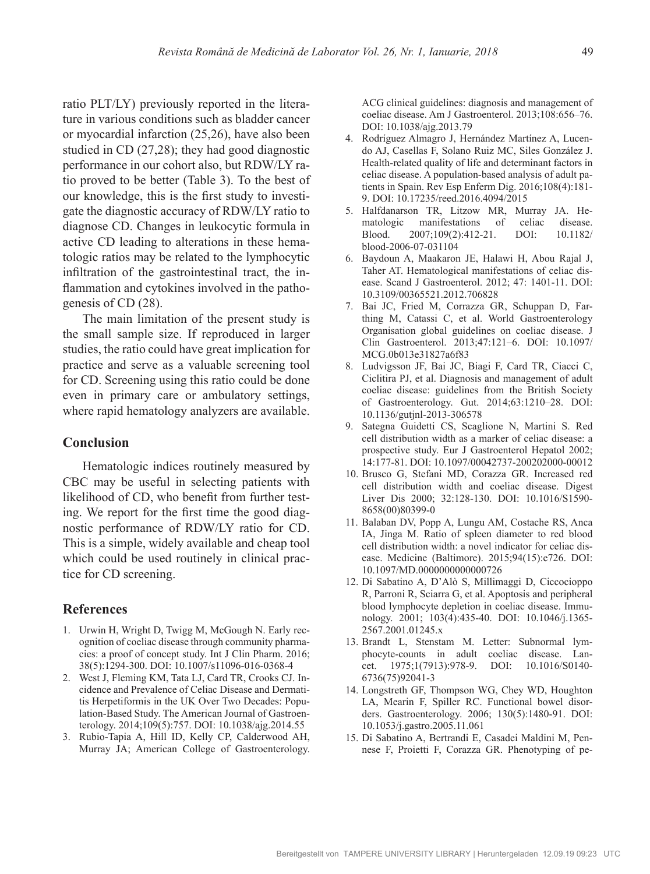ratio PLT/LY) previously reported in the literature in various conditions such as bladder cancer or myocardial infarction (25,26), have also been studied in CD (27,28); they had good diagnostic performance in our cohort also, but RDW/LY ratio proved to be better (Table 3). To the best of our knowledge, this is the first study to investigate the diagnostic accuracy of RDW/LY ratio to diagnose CD. Changes in leukocytic formula in active CD leading to alterations in these hematologic ratios may be related to the lymphocytic infiltration of the gastrointestinal tract, the inflammation and cytokines involved in the pathogenesis of CD (28).

The main limitation of the present study is the small sample size. If reproduced in larger studies, the ratio could have great implication for practice and serve as a valuable screening tool for CD. Screening using this ratio could be done even in primary care or ambulatory settings, where rapid hematology analyzers are available.

#### **Conclusion**

Hematologic indices routinely measured by CBC may be useful in selecting patients with likelihood of CD, who benefit from further testing. We report for the first time the good diagnostic performance of RDW/LY ratio for CD. This is a simple, widely available and cheap tool which could be used routinely in clinical practice for CD screening.

#### **References**

- 1. Urwin H, Wright D, Twigg M, McGough N. Early recognition of coeliac disease through community pharmacies: a proof of concept study. Int J Clin Pharm. 2016; 38(5):1294-300. [DOI: 10.1007/s11096-016-0368-4](https://doi.org/10.1007/s11096-016-0368-4)
- 2. West J, Fleming KM, Tata LJ, Card TR, Crooks CJ. Incidence and Prevalence of Celiac Disease and Dermatitis Herpetiformis in the UK Over Two Decades: Population-Based Study. The American Journal of Gastroenterology. 2014;109(5):757. [DOI: 10.1038/ajg.2014.55](https://doi.org/10.1038/ajg.2014.55)
- 3. Rubio-Tapia A, Hill ID, Kelly CP, Calderwood AH, Murray JA; American College of Gastroenterology.

ACG clinical guidelines: diagnosis and management of coeliac disease. Am J Gastroenterol. 2013;108:656–76. [DOI: 10.1038/ajg.2013.79](https://doi.org/10.1038/ajg.2013.79)

- 4. Rodríguez Almagro J, Hernández Martínez A, Lucendo AJ, Casellas F, Solano Ruiz MC, Siles González J. Health-related quality of life and determinant factors in celiac disease. A population-based analysis of adult patients in Spain. Rev Esp Enferm Dig. 2016;108(4):181- 9. [DOI: 10.17235/reed.2016.4094/2015](https://doi.org/10.17235/reed.2016.4094/2015)
- 5. Halfdanarson TR, Litzow MR, Murray JA. Hematologic manifestations of celiac disease. Blood. 2007;109(2):412-21. [DOI: 10.1182/](https://doi.org/10.1182/blood-2006-07-031104) [blood-2006-07-031104](https://doi.org/10.1182/blood-2006-07-031104)
- 6. Baydoun A, Maakaron JE, Halawi H, Abou Rajal J, Taher AT. Hematological manifestations of celiac disease. Scand J Gastroenterol. 2012; 47: 1401-11. [DOI:](https://doi.org/10.3109/00365521.2012.706828)  [10.3109/00365521.2012.706828](https://doi.org/10.3109/00365521.2012.706828)
- 7. Bai JC, Fried M, Corrazza GR, Schuppan D, Farthing M, Catassi C, et al. World Gastroenterology Organisation global guidelines on coeliac disease. J Clin Gastroenterol. 2013;47:121–6. [DOI: 10.1097/](https://doi.org/10.1097/MCG.0b013e31827a6f83) [MCG.0b013e31827a6f83](https://doi.org/10.1097/MCG.0b013e31827a6f83)
- 8. Ludvigsson JF, Bai JC, Biagi F, Card TR, Ciacci C, Ciclitira PJ, et al. Diagnosis and management of adult coeliac disease: guidelines from the British Society of Gastroenterology. Gut. 2014;63:1210–28. [DOI:](https://doi.org/10.1136/gutjnl-2013-306578)  [10.1136/gutjnl-2013-306578](https://doi.org/10.1136/gutjnl-2013-306578)
- 9. Sategna Guidetti CS, Scaglione N, Martini S. Red cell distribution width as a marker of celiac disease: a prospective study. Eur J Gastroenterol Hepatol 2002; 14:177-81. [DOI: 10.1097/00042737-200202000-00012](https://doi.org/10.1097/00042737-200202000-00012)
- 10. Brusco G, Stefani MD, Corazza GR. Increased red cell distribution width and coeliac disease. Digest Liver Dis 2000; 32:128-130. [DOI: 10.1016/S1590-](https://doi.org/10.1016/S1590-8658(00)80399-0) [8658\(00\)80399-0](https://doi.org/10.1016/S1590-8658(00)80399-0)
- 11. Balaban DV, Popp A, Lungu AM, Costache RS, Anca IA, Jinga M. Ratio of spleen diameter to red blood cell distribution width: a novel indicator for celiac disease. Medicine (Baltimore). 2015;94(15):e726. [DOI:](https://doi.org/10.1097/MD.0000000000000726)  [10.1097/MD.0000000000000726](https://doi.org/10.1097/MD.0000000000000726)
- 12. Di Sabatino A, D'Alò S, Millimaggi D, Ciccocioppo R, Parroni R, Sciarra G, et al. Apoptosis and peripheral blood lymphocyte depletion in coeliac disease. Immunology. 2001; 103(4):435-40. [DOI: 10.1046/j.1365-](https://doi.org/10.1046/j.1365-2567.2001.01245.x) [2567.2001.01245.x](https://doi.org/10.1046/j.1365-2567.2001.01245.x)
- 13. Brandt L, Stenstam M. Letter: Subnormal lymphocyte-counts in adult coeliac disease. Lancet. 1975;1(7913):978-9. [DOI: 10.1016/S0140-](https://doi.org/10.1016/S0140-6736(75)92041-3) [6736\(75\)92041-3](https://doi.org/10.1016/S0140-6736(75)92041-3)
- 14. Longstreth GF, Thompson WG, Chey WD, Houghton LA, Mearin F, Spiller RC. Functional bowel disorders. Gastroenterology. 2006; 130(5):1480-91. [DOI:](https://doi.org/10.1053/j.gastro.2005.11.061)  [10.1053/j.gastro.2005.11.061](https://doi.org/10.1053/j.gastro.2005.11.061)
- 15. Di Sabatino A, Bertrandi E, Casadei Maldini M, Pennese F, Proietti F, Corazza GR. Phenotyping of pe-